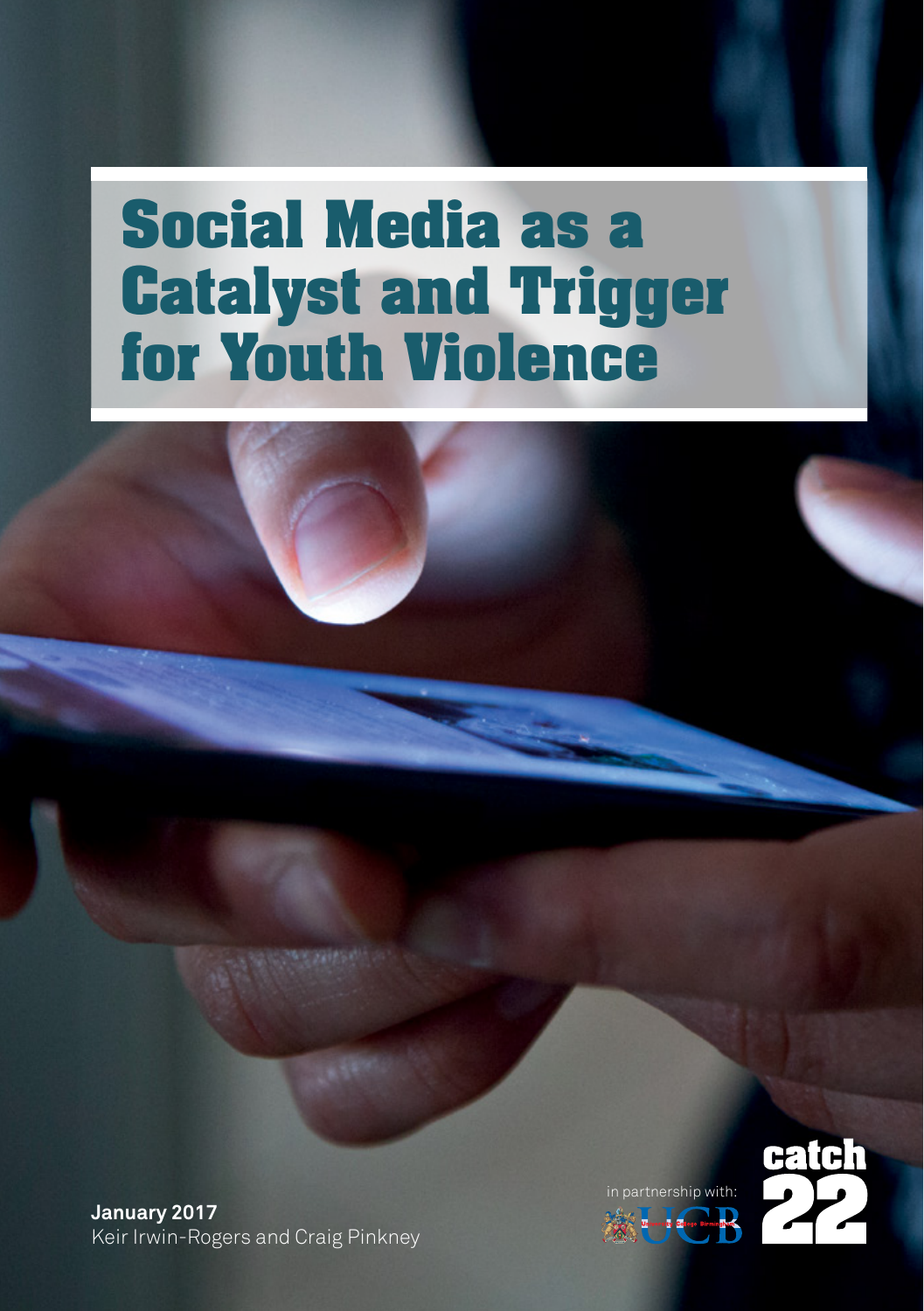# **Social Media as a Catalyst and Trigger for Youth Violence**

**January 2017** Keir Irwin-Rogers and Craig Pinkney



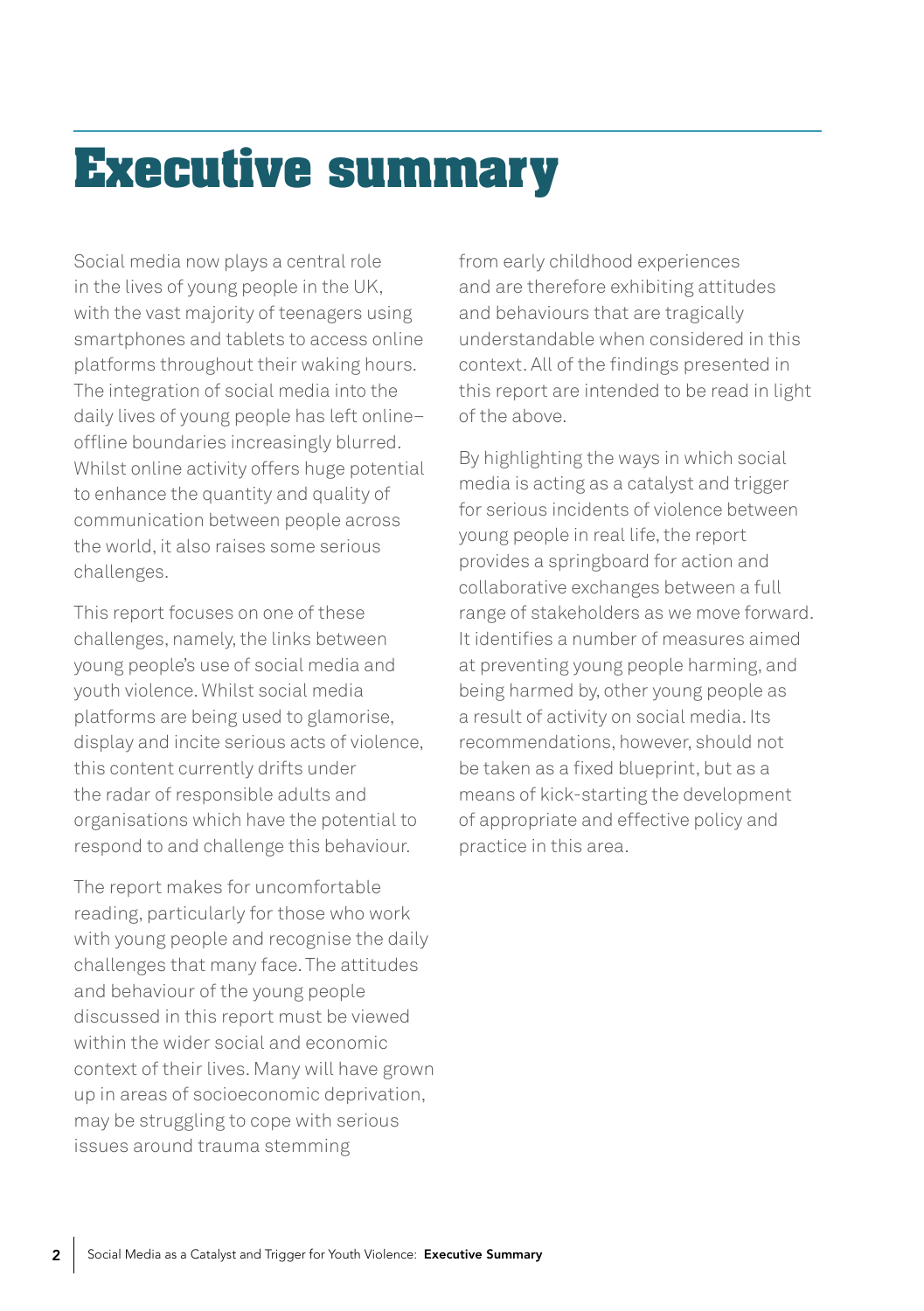## **Executive summary**

Social media now plays a central role in the lives of young people in the UK, with the vast majority of teenagers using smartphones and tablets to access online platforms throughout their waking hours. The integration of social media into the daily lives of young people has left online– offline boundaries increasingly blurred. Whilst online activity offers huge potential to enhance the quantity and quality of communication between people across the world, it also raises some serious challenges.

This report focuses on one of these challenges, namely, the links between young people's use of social media and youth violence. Whilst social media platforms are being used to glamorise, display and incite serious acts of violence, this content currently drifts under the radar of responsible adults and organisations which have the potential to respond to and challenge this behaviour.

The report makes for uncomfortable reading, particularly for those who work with young people and recognise the daily challenges that many face. The attitudes and behaviour of the young people discussed in this report must be viewed within the wider social and economic context of their lives. Many will have grown up in areas of socioeconomic deprivation, may be struggling to cope with serious issues around trauma stemming

from early childhood experiences and are therefore exhibiting attitudes and behaviours that are tragically understandable when considered in this context. All of the findings presented in this report are intended to be read in light of the above.

By highlighting the ways in which social media is acting as a catalyst and trigger for serious incidents of violence between young people in real life, the report provides a springboard for action and collaborative exchanges between a full range of stakeholders as we move forward. It identifies a number of measures aimed at preventing young people harming, and being harmed by, other young people as a result of activity on social media. Its recommendations, however, should not be taken as a fixed blueprint, but as a means of kick-starting the development of appropriate and effective policy and practice in this area.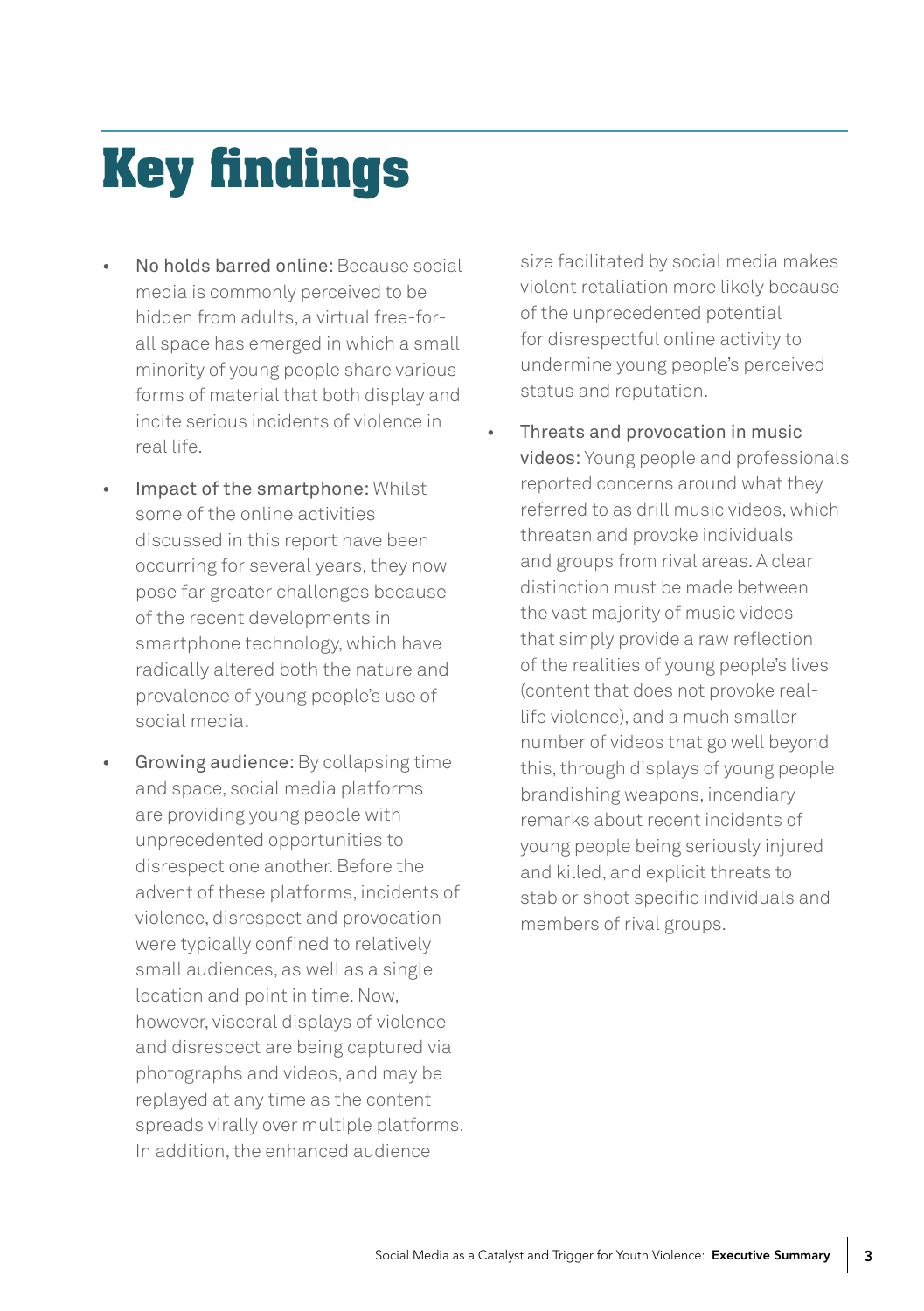# **Key findings**

- No holds barred online: Because social media is commonly perceived to be hidden from adults, a virtual free-forall space has emerged in which a small minority of young people share various forms of material that both display and incite serious incidents of violence in real life.
- Impact of the smartphone: Whilst some of the online activities discussed in this report have been occurring for several years, they now pose far greater challenges because of the recent developments in smartphone technology, which have radically altered both the nature and prevalence of young people's use of social media.
- Growing audience: By collapsing time and space, social media platforms are providing young people with unprecedented opportunities to disrespect one another. Before the advent of these platforms, incidents of violence, disrespect and provocation were typically confined to relatively small audiences, as well as a single location and point in time. Now, however, visceral displays of violence and disrespect are being captured via photographs and videos, and may be replayed at any time as the content spreads virally over multiple platforms. In addition, the enhanced audience

size facilitated by social media makes violent retaliation more likely because of the unprecedented potential for disrespectful online activity to undermine young people's perceived status and reputation.

Threats and provocation in music videos: Young people and professionals reported concerns around what they referred to as drill music videos, which threaten and provoke individuals and groups from rival areas. A clear distinction must be made between the vast majority of music videos that simply provide a raw reflection of the realities of young people's lives (content that does not provoke reallife violence), and a much smaller number of videos that go well beyond this, through displays of young people brandishing weapons, incendiary remarks about recent incidents of young people being seriously injured and killed, and explicit threats to stab or shoot specific individuals and members of rival groups.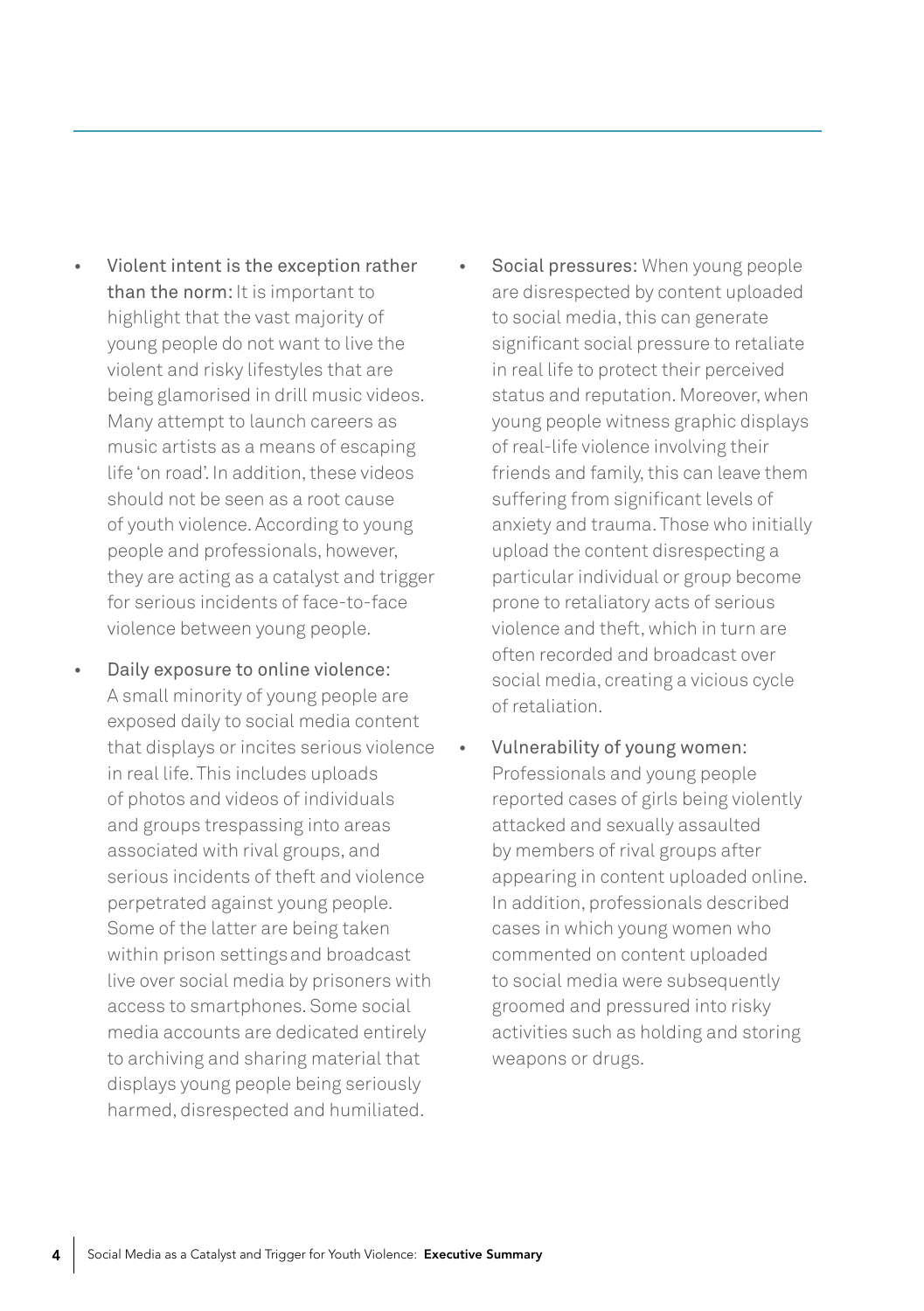- Violent intent is the exception rather than the norm: It is important to highlight that the vast majority of young people do not want to live the violent and risky lifestyles that are being glamorised in drill music videos. Many attempt to launch careers as music artists as a means of escaping life 'on road'. In addition, these videos should not be seen as a root cause of youth violence. According to young people and professionals, however, they are acting as a catalyst and trigger for serious incidents of face-to-face violence between young people.
- Daily exposure to online violence: A small minority of young people are exposed daily to social media content that displays or incites serious violence in real life. This includes uploads of photos and videos of individuals and groups trespassing into areas associated with rival groups, and serious incidents of theft and violence perpetrated against young people. Some of the latter are being taken within prison settingsand broadcast live over social media by prisoners with access to smartphones. Some social media accounts are dedicated entirely to archiving and sharing material that displays young people being seriously harmed, disrespected and humiliated.
- Social pressures: When young people are disrespected by content uploaded to social media, this can generate significant social pressure to retaliate in real life to protect their perceived status and reputation. Moreover, when young people witness graphic displays of real-life violence involving their friends and family, this can leave them suffering from significant levels of anxiety and trauma. Those who initially upload the content disrespecting a particular individual or group become prone to retaliatory acts of serious violence and theft, which in turn are often recorded and broadcast over social media, creating a vicious cycle of retaliation.
- Vulnerability of young women: Professionals and young people reported cases of girls being violently attacked and sexually assaulted by members of rival groups after appearing in content uploaded online. In addition, professionals described cases in which young women who commented on content uploaded to social media were subsequently groomed and pressured into risky activities such as holding and storing weapons or drugs.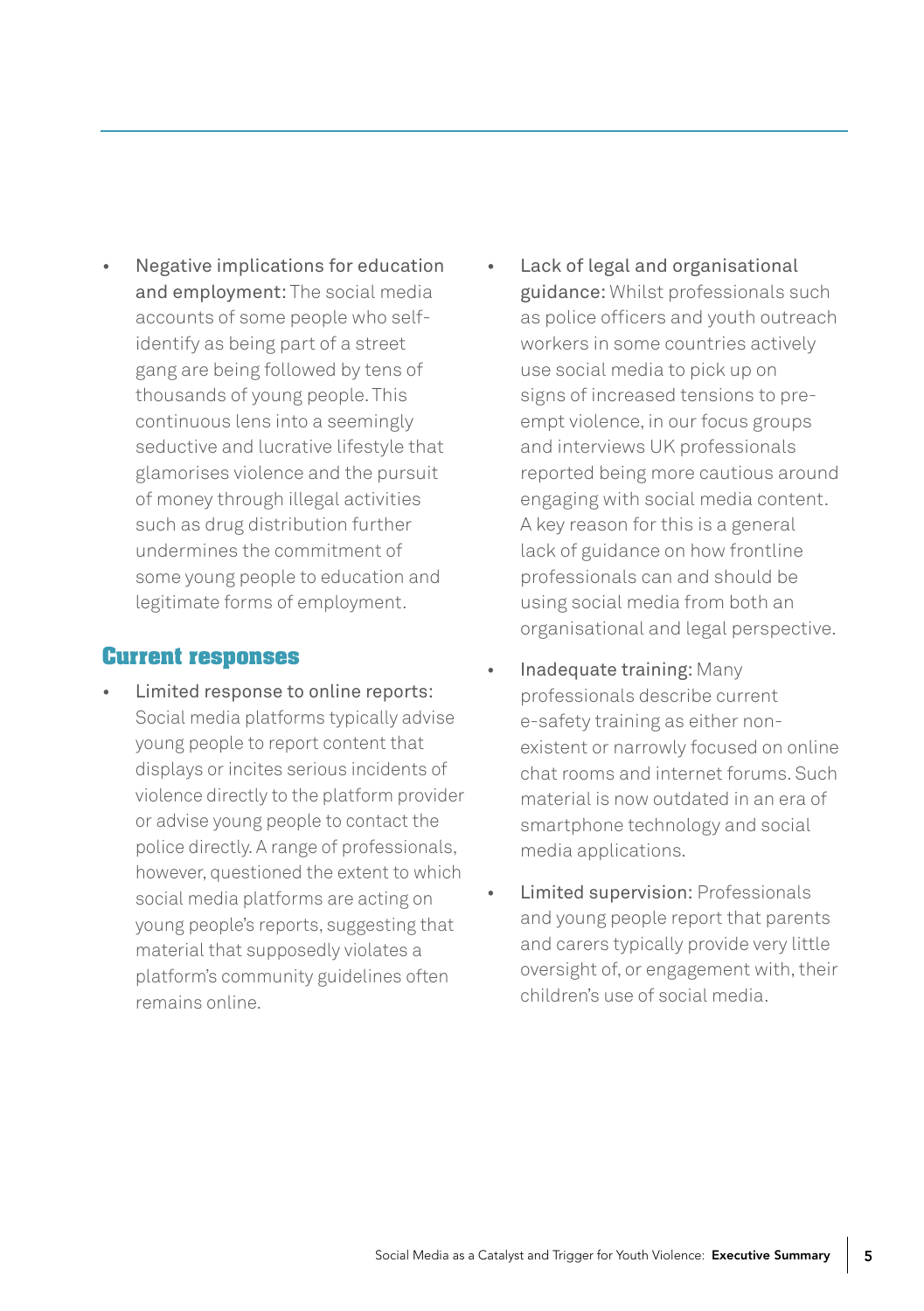• Negative implications for education and employment: The social media accounts of some people who selfidentify as being part of a street gang are being followed by tens of thousands of young people. This continuous lens into a seemingly seductive and lucrative lifestyle that glamorises violence and the pursuit of money through illegal activities such as drug distribution further undermines the commitment of some young people to education and legitimate forms of employment.

#### **Current responses**

- Limited response to online reports: Social media platforms typically advise young people to report content that displays or incites serious incidents of violence directly to the platform provider or advise young people to contact the police directly. A range of professionals, however, questioned the extent to which social media platforms are acting on young people's reports, suggesting that material that supposedly violates a platform's community guidelines often remains online.
- Lack of legal and organisational guidance: Whilst professionals such as police officers and youth outreach workers in some countries actively use social media to pick up on signs of increased tensions to preempt violence, in our focus groups and interviews UK professionals reported being more cautious around engaging with social media content. A key reason for this is a general lack of guidance on how frontline professionals can and should be using social media from both an organisational and legal perspective.
- Inadequate training: Many professionals describe current e-safety training as either nonexistent or narrowly focused on online chat rooms and internet forums. Such material is now outdated in an era of smartphone technology and social media applications.
- Limited supervision: Professionals and young people report that parents and carers typically provide very little oversight of, or engagement with, their children's use of social media.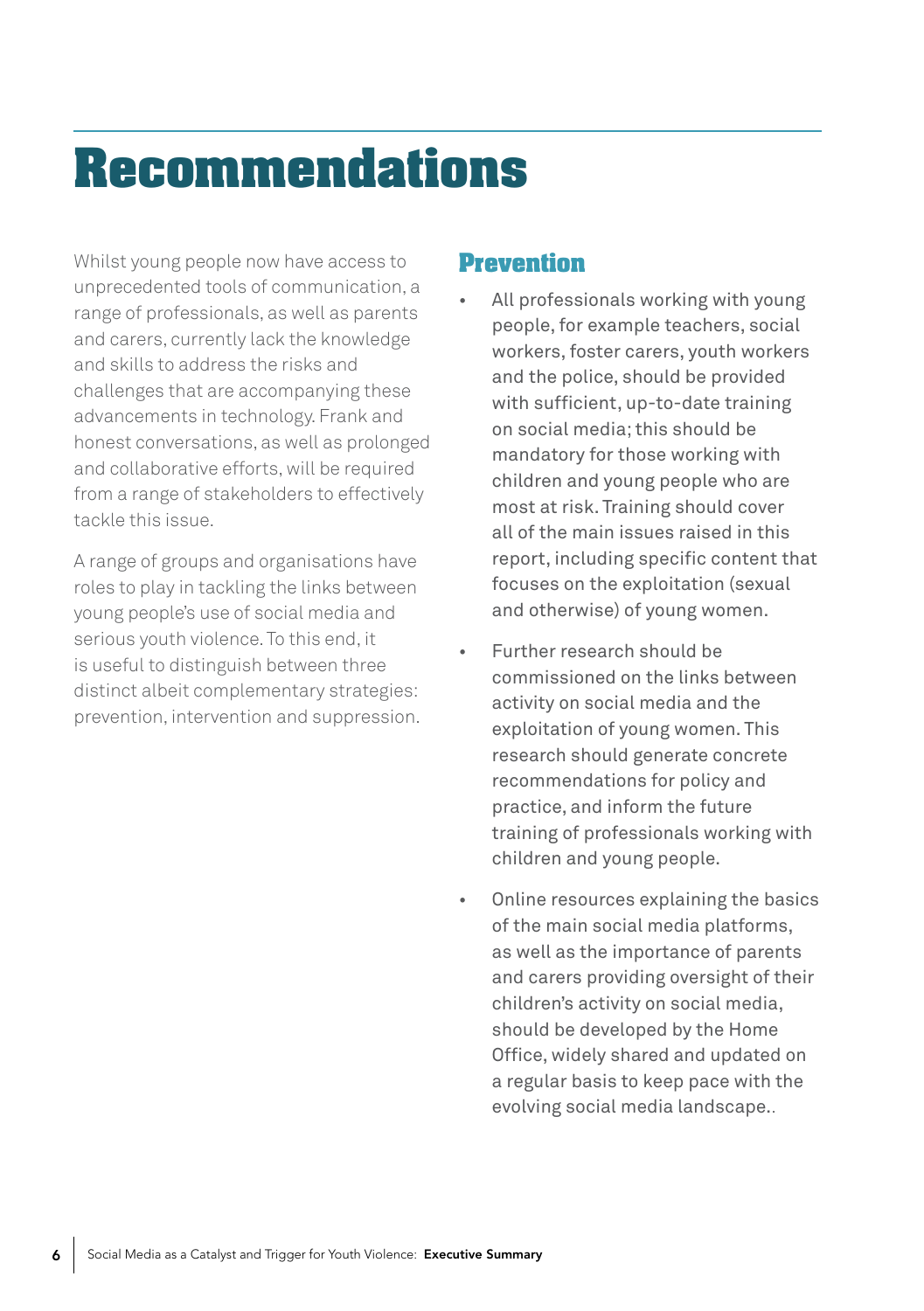## **Recommendations**

Whilst young people now have access to unprecedented tools of communication, a range of professionals, as well as parents and carers, currently lack the knowledge and skills to address the risks and challenges that are accompanying these advancements in technology. Frank and honest conversations, as well as prolonged and collaborative efforts, will be required from a range of stakeholders to effectively tackle this issue.

A range of groups and organisations have roles to play in tackling the links between young people's use of social media and serious youth violence. To this end, it is useful to distinguish between three distinct albeit complementary strategies: prevention, intervention and suppression.

#### **Prevention**

- All professionals working with young people, for example teachers, social workers, foster carers, youth workers and the police, should be provided with sufficient, up-to-date training on social media; this should be mandatory for those working with children and young people who are most at risk. Training should cover all of the main issues raised in this report, including specific content that focuses on the exploitation (sexual and otherwise) of young women.
- Further research should be commissioned on the links between activity on social media and the exploitation of young women. This research should generate concrete recommendations for policy and practice, and inform the future training of professionals working with children and young people.
- Online resources explaining the basics of the main social media platforms, as well as the importance of parents and carers providing oversight of their children's activity on social media, should be developed by the Home Office, widely shared and updated on a regular basis to keep pace with the evolving social media landscape..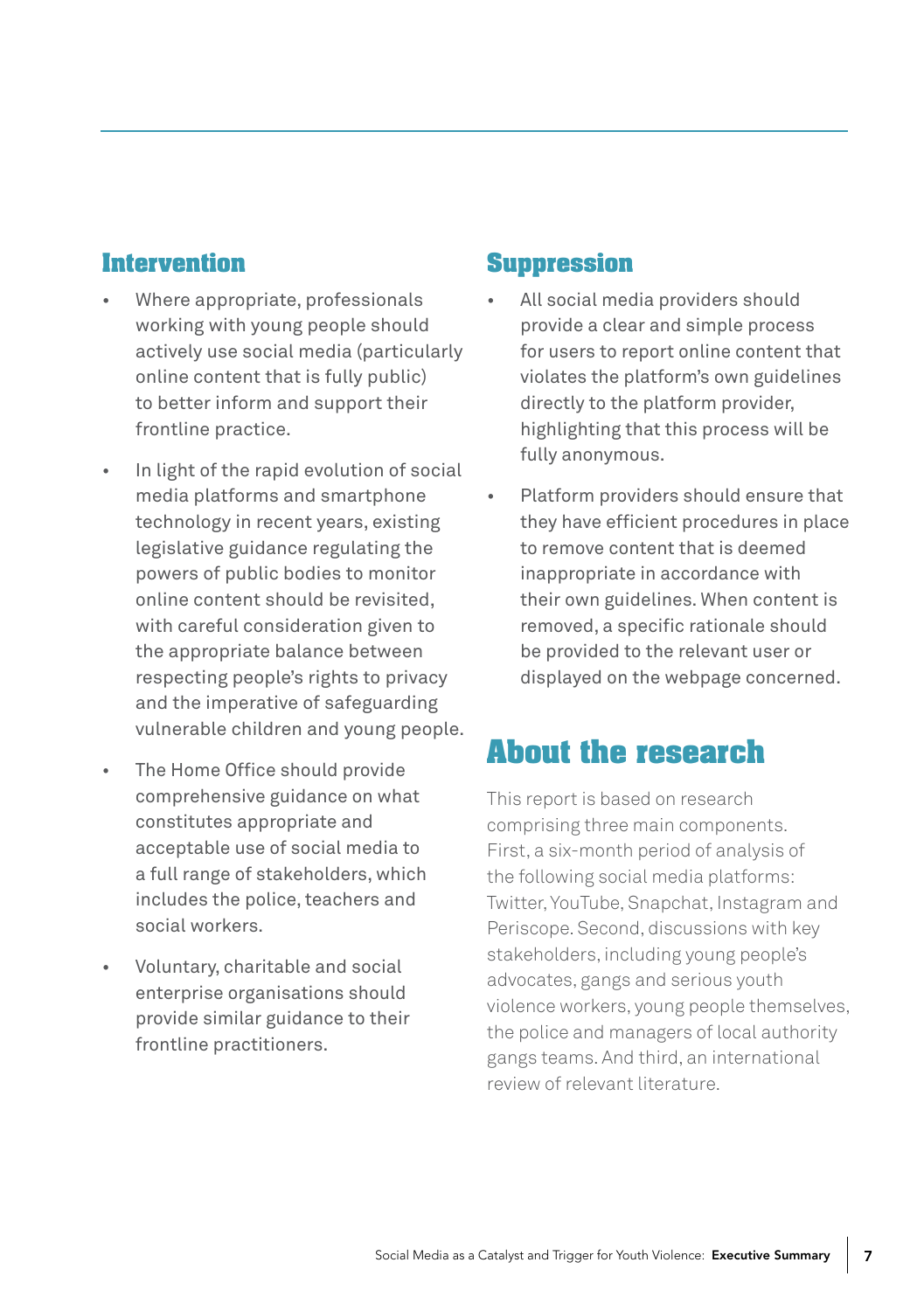#### **Intervention**

- Where appropriate, professionals working with young people should actively use social media (particularly online content that is fully public) to better inform and support their frontline practice.
- In light of the rapid evolution of social media platforms and smartphone technology in recent years, existing legislative guidance regulating the powers of public bodies to monitor online content should be revisited, with careful consideration given to the appropriate balance between respecting people's rights to privacy and the imperative of safeguarding vulnerable children and young people.
- The Home Office should provide comprehensive guidance on what constitutes appropriate and acceptable use of social media to a full range of stakeholders, which includes the police, teachers and social workers.
- Voluntary, charitable and social enterprise organisations should provide similar guidance to their frontline practitioners.

#### **Suppression**

- All social media providers should provide a clear and simple process for users to report online content that violates the platform's own guidelines directly to the platform provider, highlighting that this process will be fully anonymous.
- Platform providers should ensure that they have efficient procedures in place to remove content that is deemed inappropriate in accordance with their own guidelines. When content is removed, a specific rationale should be provided to the relevant user or displayed on the webpage concerned.

### **About the research**

This report is based on research comprising three main components. First, a six-month period of analysis of the following social media platforms: Twitter, YouTube, Snapchat, Instagram and Periscope. Second, discussions with key stakeholders, including young people's advocates, gangs and serious youth violence workers, young people themselves, the police and managers of local authority gangs teams. And third, an international review of relevant literature.